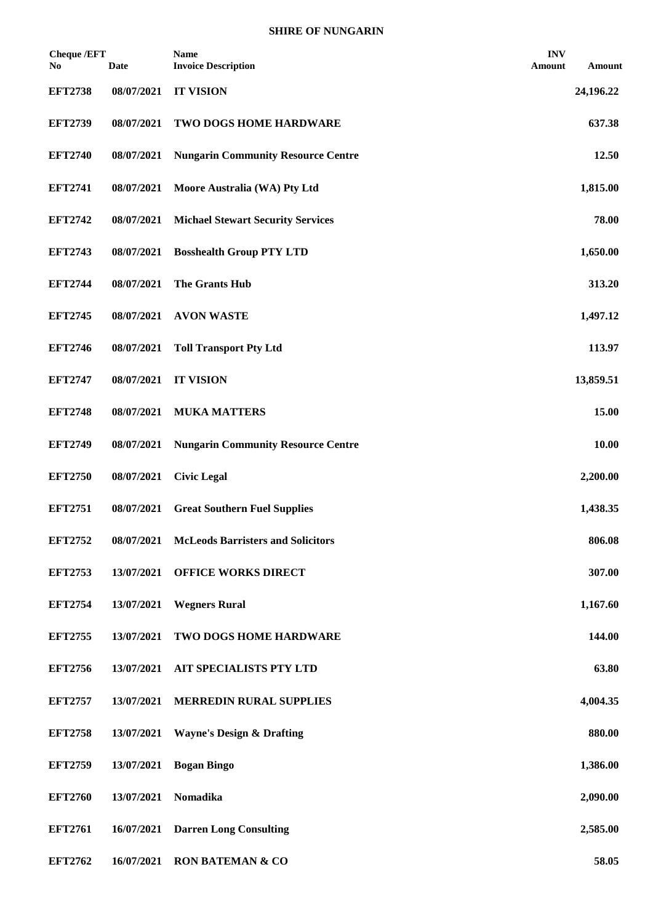## **SHIRE OF NUNGARIN**

| <b>Cheque /EFT</b><br>No | <b>Date</b> | <b>Name</b><br><b>Invoice Description</b> | <b>INV</b><br>Amount | Amount    |
|--------------------------|-------------|-------------------------------------------|----------------------|-----------|
| <b>EFT2738</b>           | 08/07/2021  | <b>IT VISION</b>                          |                      | 24,196.22 |
| <b>EFT2739</b>           | 08/07/2021  | TWO DOGS HOME HARDWARE                    |                      | 637.38    |
| <b>EFT2740</b>           | 08/07/2021  | <b>Nungarin Community Resource Centre</b> |                      | 12.50     |
| <b>EFT2741</b>           | 08/07/2021  | Moore Australia (WA) Pty Ltd              |                      | 1,815.00  |
| <b>EFT2742</b>           | 08/07/2021  | <b>Michael Stewart Security Services</b>  |                      | 78.00     |
| <b>EFT2743</b>           | 08/07/2021  | <b>Bosshealth Group PTY LTD</b>           |                      | 1,650.00  |
| <b>EFT2744</b>           | 08/07/2021  | The Grants Hub                            |                      | 313.20    |
| <b>EFT2745</b>           | 08/07/2021  | <b>AVON WASTE</b>                         |                      | 1,497.12  |
| <b>EFT2746</b>           | 08/07/2021  | <b>Toll Transport Pty Ltd</b>             |                      | 113.97    |
| <b>EFT2747</b>           | 08/07/2021  | <b>IT VISION</b>                          |                      | 13,859.51 |
| <b>EFT2748</b>           | 08/07/2021  | <b>MUKA MATTERS</b>                       |                      | 15.00     |
| <b>EFT2749</b>           | 08/07/2021  | <b>Nungarin Community Resource Centre</b> |                      | 10.00     |
| <b>EFT2750</b>           | 08/07/2021  | <b>Civic Legal</b>                        |                      | 2,200.00  |
| <b>EFT2751</b>           | 08/07/2021  | <b>Great Southern Fuel Supplies</b>       |                      | 1,438.35  |
| <b>EFT2752</b>           | 08/07/2021  | <b>McLeods Barristers and Solicitors</b>  |                      | 806.08    |
| <b>EFT2753</b>           | 13/07/2021  | <b>OFFICE WORKS DIRECT</b>                |                      | 307.00    |
| <b>EFT2754</b>           | 13/07/2021  | <b>Wegners Rural</b>                      |                      | 1,167.60  |
| <b>EFT2755</b>           | 13/07/2021  | TWO DOGS HOME HARDWARE                    |                      | 144.00    |
| <b>EFT2756</b>           | 13/07/2021  | <b>AIT SPECIALISTS PTY LTD</b>            |                      | 63.80     |
| <b>EFT2757</b>           | 13/07/2021  | <b>MERREDIN RURAL SUPPLIES</b>            |                      | 4,004.35  |
| <b>EFT2758</b>           | 13/07/2021  | <b>Wayne's Design &amp; Drafting</b>      |                      | 880.00    |
| <b>EFT2759</b>           | 13/07/2021  | <b>Bogan Bingo</b>                        |                      | 1,386.00  |
| <b>EFT2760</b>           | 13/07/2021  | Nomadika                                  |                      | 2,090.00  |
| <b>EFT2761</b>           | 16/07/2021  | <b>Darren Long Consulting</b>             |                      | 2,585.00  |
| <b>EFT2762</b>           | 16/07/2021  | <b>RON BATEMAN &amp; CO</b>               |                      | 58.05     |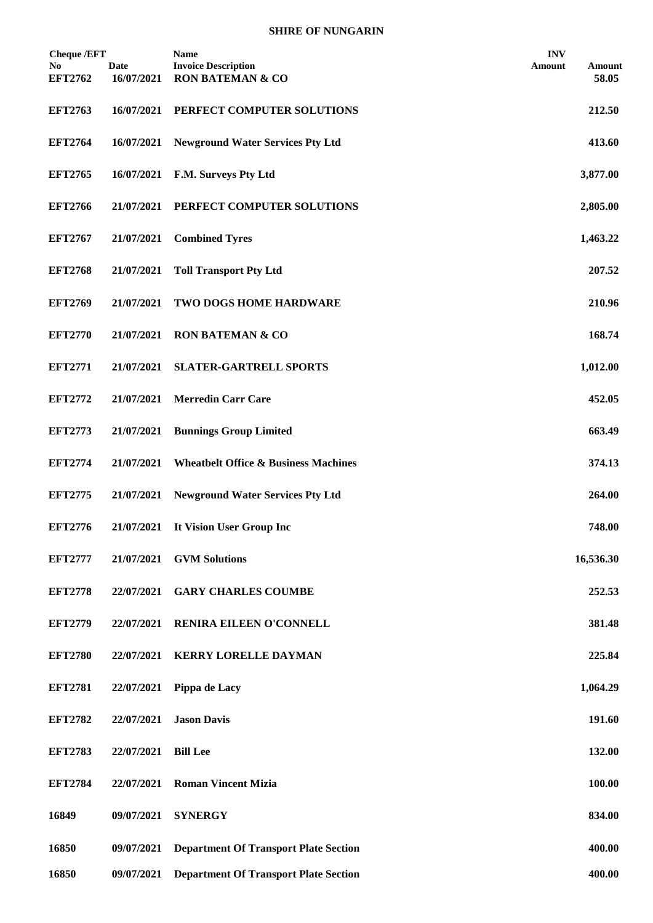## **SHIRE OF NUNGARIN**

| <b>Cheque /EFT</b><br>No | <b>Date</b> | Name<br><b>Invoice Description</b>              | <b>INV</b><br>Amount<br>Amount |
|--------------------------|-------------|-------------------------------------------------|--------------------------------|
| <b>EFT2762</b>           | 16/07/2021  | <b>RON BATEMAN &amp; CO</b>                     | 58.05                          |
| <b>EFT2763</b>           | 16/07/2021  | PERFECT COMPUTER SOLUTIONS                      | 212.50                         |
| <b>EFT2764</b>           | 16/07/2021  | <b>Newground Water Services Pty Ltd</b>         | 413.60                         |
| <b>EFT2765</b>           | 16/07/2021  | F.M. Surveys Pty Ltd                            | 3,877.00                       |
| <b>EFT2766</b>           | 21/07/2021  | PERFECT COMPUTER SOLUTIONS                      | 2,805.00                       |
| <b>EFT2767</b>           | 21/07/2021  | <b>Combined Tyres</b>                           | 1,463.22                       |
| <b>EFT2768</b>           | 21/07/2021  | <b>Toll Transport Pty Ltd</b>                   | 207.52                         |
| <b>EFT2769</b>           | 21/07/2021  | TWO DOGS HOME HARDWARE                          | 210.96                         |
| <b>EFT2770</b>           | 21/07/2021  | <b>RON BATEMAN &amp; CO</b>                     | 168.74                         |
| <b>EFT2771</b>           | 21/07/2021  | <b>SLATER-GARTRELL SPORTS</b>                   | 1,012.00                       |
| <b>EFT2772</b>           | 21/07/2021  | <b>Merredin Carr Care</b>                       | 452.05                         |
| <b>EFT2773</b>           | 21/07/2021  | <b>Bunnings Group Limited</b>                   | 663.49                         |
| <b>EFT2774</b>           | 21/07/2021  | <b>Wheatbelt Office &amp; Business Machines</b> | 374.13                         |
| <b>EFT2775</b>           | 21/07/2021  | <b>Newground Water Services Pty Ltd</b>         | 264.00                         |
| <b>EFT2776</b>           | 21/07/2021  | It Vision User Group Inc                        | 748.00                         |
| <b>EFT2777</b>           | 21/07/2021  | <b>GVM Solutions</b>                            | 16,536.30                      |
| <b>EFT2778</b>           | 22/07/2021  | <b>GARY CHARLES COUMBE</b>                      | 252.53                         |
| <b>EFT2779</b>           | 22/07/2021  | RENIRA EILEEN O'CONNELL                         | 381.48                         |
| <b>EFT2780</b>           | 22/07/2021  | <b>KERRY LORELLE DAYMAN</b>                     | 225.84                         |
| <b>EFT2781</b>           | 22/07/2021  | Pippa de Lacy                                   | 1,064.29                       |
| <b>EFT2782</b>           | 22/07/2021  | <b>Jason Davis</b>                              | 191.60                         |
| <b>EFT2783</b>           | 22/07/2021  | <b>Bill Lee</b>                                 | 132.00                         |
| <b>EFT2784</b>           | 22/07/2021  | <b>Roman Vincent Mizia</b>                      | 100.00                         |
| 16849                    | 09/07/2021  | <b>SYNERGY</b>                                  | 834.00                         |
| 16850                    | 09/07/2021  | <b>Department Of Transport Plate Section</b>    | 400.00                         |
| 16850                    | 09/07/2021  | <b>Department Of Transport Plate Section</b>    | 400.00                         |